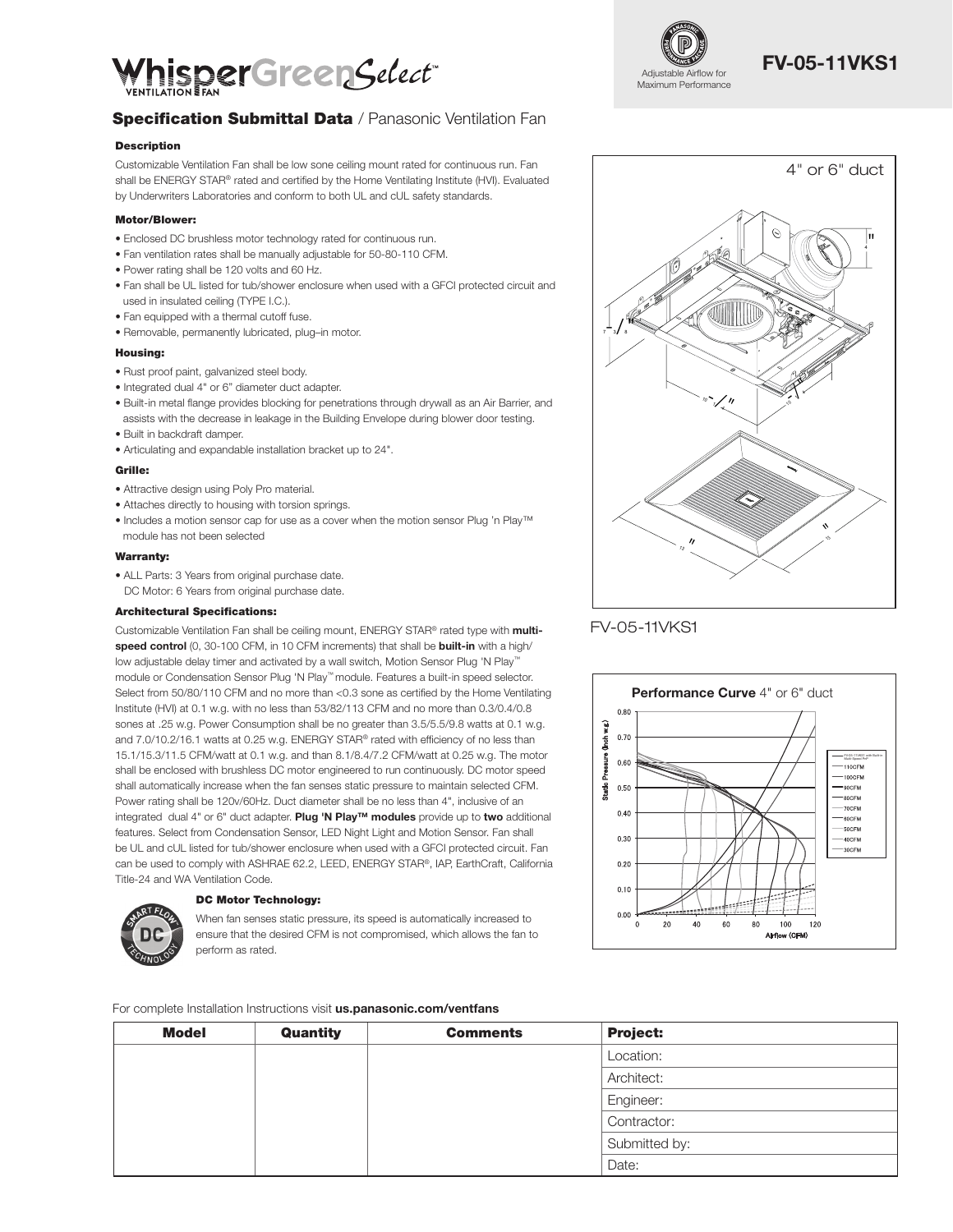

### **Specification Submittal Data / Panasonic Ventilation Fan**

### Description

Customizable Ventilation Fan shall be low sone ceiling mount rated for continuous run. Fan shall be ENERGY STAR® rated and certified by the Home Ventilating Institute (HVI). Evaluated by Underwriters Laboratories and conform to both UL and cUL safety standards.

### Motor/Blower:

- Enclosed DC brushless motor technology rated for continuous run.
- Fan ventilation rates shall be manually adjustable for 50-80-110 CFM.
- Power rating shall be 120 volts and 60 Hz.
- Fan shall be UL listed for tub/shower enclosure when used with a GFCI protected circuit and used in insulated ceiling (TYPE I.C.).
- Fan equipped with a thermal cutoff fuse.
- Removable, permanently lubricated, plug–in motor.

#### Housing:

- Rust proof paint, galvanized steel body.
- Integrated dual 4" or 6" diameter duct adapter.
- Built-in metal flange provides blocking for penetrations through drywall as an Air Barrier, and assists with the decrease in leakage in the Building Envelope during blower door testing.
- Built in backdraft damper.
- Articulating and expandable installation bracket up to 24".

#### Grille:

- Attractive design using Poly Pro material.
- Attaches directly to housing with torsion springs.
- Includes a motion sensor cap for use as a cover when the motion sensor Plug 'n Play™ module has not been selected

#### Warranty:

• ALL Parts: 3 Years from original purchase date. DC Motor: 6 Years from original purchase date.

#### Architectural Specifications:

Customizable Ventilation Fan shall be ceiling mount, ENERGY STAR® rated type with multispeed control (0, 30-100 CFM, in 10 CFM increments) that shall be built-in with a high/ low adjustable delay timer and activated by a wall switch, Motion Sensor Plug 'N Play™ module or Condensation Sensor Plug 'N Play™ module. Features a built-in speed selector. Select from 50/80/110 CFM and no more than <0.3 sone as certified by the Home Ventilating Institute (HVI) at 0.1 w.g. with no less than 53/82/113 CFM and no more than 0.3/0.4/0.8 sones at .25 w.g. Power Consumption shall be no greater than 3.5/5.5/9.8 watts at 0.1 w.g. and 7.0/10.2/16.1 watts at 0.25 w.g. ENERGY STAR® rated with efficiency of no less than 15.1/15.3/11.5 CFM/watt at 0.1 w.g. and than 8.1/8.4/7.2 CFM/watt at 0.25 w.g. The motor shall be enclosed with brushless DC motor engineered to run continuously. DC motor speed shall automatically increase when the fan senses static pressure to maintain selected CFM. Power rating shall be 120v/60Hz. Duct diameter shall be no less than 4", inclusive of an integrated dual 4" or 6" duct adapter. Plug 'N Play™ modules provide up to two additional features. Select from Condensation Sensor, LED Night Light and Motion Sensor. Fan shall be UL and cUL listed for tub/shower enclosure when used with a GFCI protected circuit. Fan can be used to comply with ASHRAE 62.2, LEED, ENERGY STAR®, IAP, EarthCraft, California Title-24 and WA Ventilation Code.



### DC Motor Technology:

When fan senses static pressure, its speed is automatically increased to ensure that the desired CFM is not compromised, which allows the fan to perform as rated.

For complete Installation Instructions visit us.panasonic.com/ventfans

| <b>Model</b> | Quantity | <b>Comments</b> | <b>Project:</b> |
|--------------|----------|-----------------|-----------------|
|              |          |                 | Location:       |
|              |          |                 | Architect:      |
|              |          |                 | Engineer:       |
|              |          |                 | Contractor:     |
|              |          |                 | Submitted by:   |
|              |          |                 | Date:           |



# FV-05-11VKS1



### FV-05-11VKS1